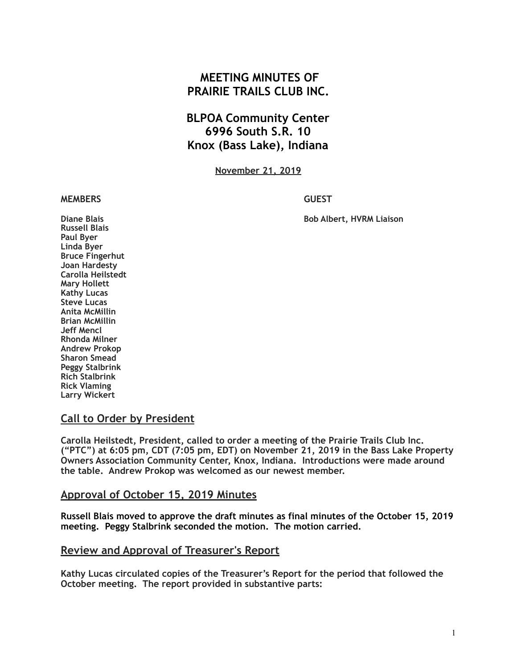# **MEETING MINUTES OF PRAIRIE TRAILS CLUB INC.**

# **BLPOA Community Center 6996 South S.R. 10 Knox (Bass Lake), Indiana**

**November 21, 2019**

#### **MEMBERS GUEST**

**Diane Blais Bob Albert, HVRM Liaison** 

**Russell Blais Paul Byer Linda Byer Bruce Fingerhut Joan Hardesty Carolla Heilstedt Mary Hollett Kathy Lucas Steve Lucas Anita McMillin Brian McMillin Jeff Mencl Rhonda Milner Andrew Prokop Sharon Smead Peggy Stalbrink Rich Stalbrink Rick Vlaming Larry Wickert** 

### **Call to Order by President**

**Carolla Heilstedt, President, called to order a meeting of the Prairie Trails Club Inc. ("PTC") at 6:05 pm, CDT (7:05 pm, EDT) on November 21, 2019 in the Bass Lake Property Owners Association Community Center, Knox, Indiana. Introductions were made around the table. Andrew Prokop was welcomed as our newest member.**

### **Approval of October 15, 2019 Minutes**

**Russell Blais moved to approve the draft minutes as final minutes of the October 15, 2019 meeting. Peggy Stalbrink seconded the motion. The motion carried.** 

### **Review and Approval of Treasurer's Report**

**Kathy Lucas circulated copies of the Treasurer's Report for the period that followed the October meeting. The report provided in substantive parts:**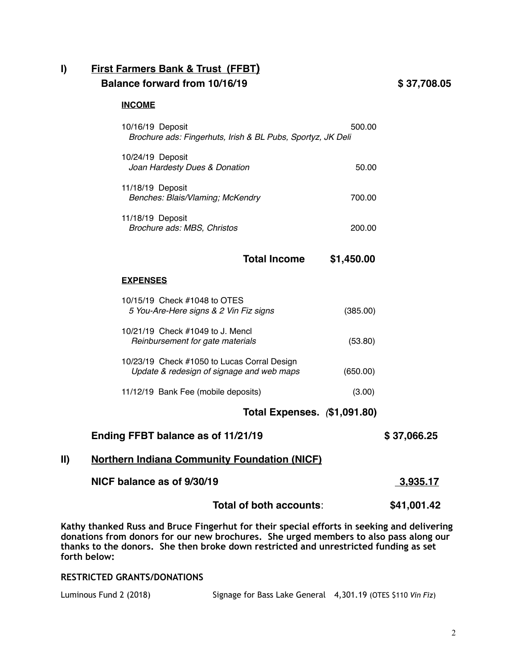### **I) First Farmers Bank & Trust (FFBT) Balance forward from 10/16/19 \$ 37,708.05**

#### **INCOME**

| 10/16/19 Deposit<br>Brochure ads: Fingerhuts, Irish & BL Pubs, Sportyz, JK Deli | 500.00 |  |
|---------------------------------------------------------------------------------|--------|--|
| 10/24/19 Deposit<br>Joan Hardesty Dues & Donation                               | 50.00  |  |
| 11/18/19 Deposit<br>Benches: Blais/Vlaming; McKendry                            | 700.00 |  |
| 11/18/19 Deposit<br>Brochure ads: MBS, Christos                                 | 200.00 |  |

#### **Total Income****\$1,450.00**

#### **EXPENSES**

| Total Expenses. (\$1,091.80)                                                             |          |  |
|------------------------------------------------------------------------------------------|----------|--|
| 11/12/19 Bank Fee (mobile deposits)                                                      | (3.00)   |  |
| 10/23/19 Check #1050 to Lucas Corral Design<br>Update & redesign of signage and web maps | (650.00) |  |
| 10/21/19 Check #1049 to J. Mencl<br>Reinbursement for gate materials                     | (53.80)  |  |
| 10/15/19 Check #1048 to OTES<br>5 You-Are-Here signs & 2 Vin Fiz signs                   | (385.00) |  |

#### **Ending FFBT balance as of 11/21/19 \$ 37,066.25**

### **II) Northern Indiana Community Foundation (NICF)**

| 3,935.17 |
|----------|
|          |

**Total of both accounts**: **\$41,001.42**

**Kathy thanked Russ and Bruce Fingerhut for their special efforts in seeking and delivering donations from donors for our new brochures. She urged members to also pass along our thanks to the donors. She then broke down restricted and unrestricted funding as set forth below:** 

### **RESTRICTED GRANTS/DONATIONS**

| Luminous Fund 2 (2018) | Signage for Bass Lake General 4, 301.19 (OTES \$110 Vin Fiz) |  |
|------------------------|--------------------------------------------------------------|--|
|                        |                                                              |  |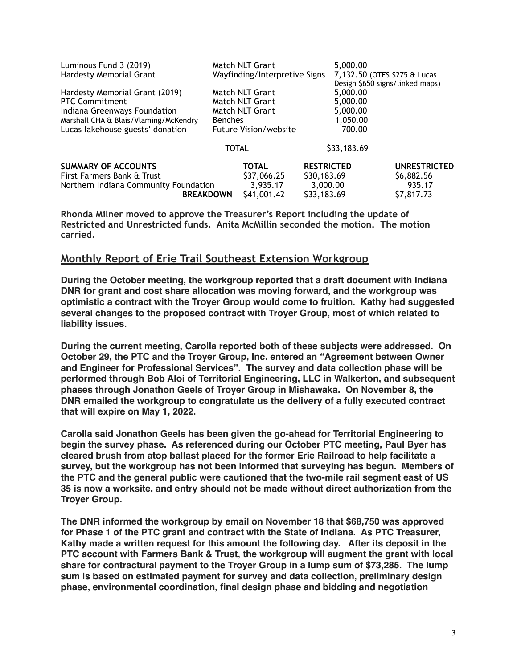| Luminous Fund 3 (2019)                | Match NLT Grant                              |                 |                   | 5,000.00                     |                                 |  |
|---------------------------------------|----------------------------------------------|-----------------|-------------------|------------------------------|---------------------------------|--|
| Hardesty Memorial Grant               | Wayfinding/Interpretive Signs                |                 |                   | 7,132.50 (OTES \$275 & Lucas |                                 |  |
|                                       |                                              |                 |                   |                              | Design \$650 signs/linked maps) |  |
| Hardesty Memorial Grant (2019)        |                                              | Match NLT Grant |                   | 5,000.00                     |                                 |  |
| <b>PTC Commitment</b>                 |                                              | Match NLT Grant |                   | 5,000.00                     |                                 |  |
| Indiana Greenways Foundation          |                                              | Match NLT Grant |                   | 5,000.00                     |                                 |  |
| Marshall CHA & Blais/Vlaming/McKendry | <b>Benches</b>                               |                 |                   | 1,050.00                     |                                 |  |
| Lucas lakehouse guests' donation      | <b>Future Vision/website</b><br><b>TOTAL</b> |                 |                   | 700.00                       |                                 |  |
|                                       |                                              |                 |                   | \$33,183.69                  |                                 |  |
| <b>SUMMARY OF ACCOUNTS</b>            |                                              | <b>TOTAL</b>    | <b>RESTRICTED</b> |                              | <b>UNRESTRICTED</b>             |  |
| First Farmers Bank & Trust            |                                              | \$37,066.25     | \$30,183.69       |                              | \$6,882.56                      |  |
| Northern Indiana Community Foundation |                                              | 3,935.17        | 3,000.00          |                              | 935.17                          |  |
| <b>BREAKDOWN</b>                      |                                              | S41,001.42      | \$33,183.69       |                              | \$7,817.73                      |  |

**Rhonda Milner moved to approve the Treasurer's Report including the update of Restricted and Unrestricted funds. Anita McMillin seconded the motion. The motion carried.** 

### **Monthly Report of Erie Trail Southeast Extension Workgroup**

**During the October meeting, the workgroup reported that a draft document with Indiana DNR for grant and cost share allocation was moving forward, and the workgroup was optimistic a contract with the Troyer Group would come to fruition. Kathy had suggested several changes to the proposed contract with Troyer Group, most of which related to liability issues.** 

**During the current meeting, Carolla reported both of these subjects were addressed. On October 29, the PTC and the Troyer Group, Inc. entered an "Agreement between Owner and Engineer for Professional Services". The survey and data collection phase will be performed through Bob Aloi of Territorial Engineering, LLC in Walkerton, and subsequent phases through Jonathon Geels of Troyer Group in Mishawaka. On November 8, the DNR emailed the workgroup to congratulate us the delivery of a fully executed contract that will expire on May 1, 2022.** 

**Carolla said Jonathon Geels has been given the go-ahead for Territorial Engineering to begin the survey phase. As referenced during our October PTC meeting, Paul Byer has cleared brush from atop ballast placed for the former Erie Railroad to help facilitate a survey, but the workgroup has not been informed that surveying has begun. Members of the PTC and the general public were cautioned that the two-mile rail segment east of US 35 is now a worksite, and entry should not be made without direct authorization from the Troyer Group.**

**The DNR informed the workgroup by email on November 18 that \$68,750 was approved for Phase 1 of the PTC grant and contract with the State of Indiana. As PTC Treasurer, Kathy made a written request for this amount the following day. After its deposit in the PTC account with Farmers Bank & Trust, the workgroup will augment the grant with local share for contractural payment to the Troyer Group in a lump sum of \$73,285. The lump sum is based on estimated payment for survey and data collection, preliminary design phase, environmental coordination, final design phase and bidding and negotiation**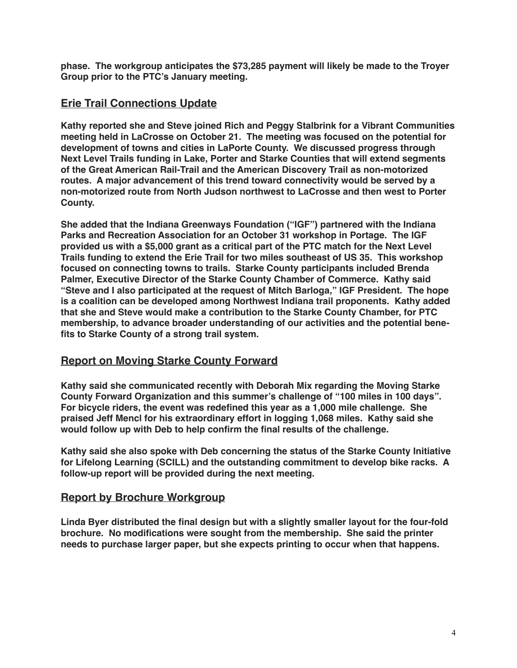**phase. The workgroup anticipates the \$73,285 payment will likely be made to the Troyer Group prior to the PTC's January meeting.** 

## **Erie Trail Connections Update**

**Kathy reported she and Steve joined Rich and Peggy Stalbrink for a Vibrant Communities meeting held in LaCrosse on October 21. The meeting was focused on the potential for development of towns and cities in LaPorte County. We discussed progress through Next Level Trails funding in Lake, Porter and Starke Counties that will extend segments of the Great American Rail-Trail and the American Discovery Trail as non-motorized routes. A major advancement of this trend toward connectivity would be served by a non-motorized route from North Judson northwest to LaCrosse and then west to Porter County.**

**She added that the Indiana Greenways Foundation ("IGF") partnered with the Indiana Parks and Recreation Association for an October 31 workshop in Portage. The IGF provided us with a \$5,000 grant as a critical part of the PTC match for the Next Level Trails funding to extend the Erie Trail for two miles southeast of US 35. This workshop focused on connecting towns to trails. Starke County participants included Brenda Palmer, Executive Director of the Starke County Chamber of Commerce. Kathy said "Steve and I also participated at the request of Mitch Barloga," IGF President. The hope is a coalition can be developed among Northwest Indiana trail proponents. Kathy added that she and Steve would make a contribution to the Starke County Chamber, for PTC membership, to advance broader understanding of our activities and the potential benefits to Starke County of a strong trail system.** 

## **Report on Moving Starke County Forward**

**Kathy said she communicated recently with Deborah Mix regarding the Moving Starke County Forward Organization and this summer's challenge of "100 miles in 100 days". For bicycle riders, the event was redefined this year as a 1,000 mile challenge. She praised Jeff Mencl for his extraordinary effort in logging 1,068 miles. Kathy said she would follow up with Deb to help confirm the final results of the challenge.**

**Kathy said she also spoke with Deb concerning the status of the Starke County Initiative for Lifelong Learning (SCILL) and the outstanding commitment to develop bike racks. A follow-up report will be provided during the next meeting.** 

## **Report by Brochure Workgroup**

**Linda Byer distributed the final design but with a slightly smaller layout for the four-fold brochure. No modifications were sought from the membership. She said the printer needs to purchase larger paper, but she expects printing to occur when that happens.**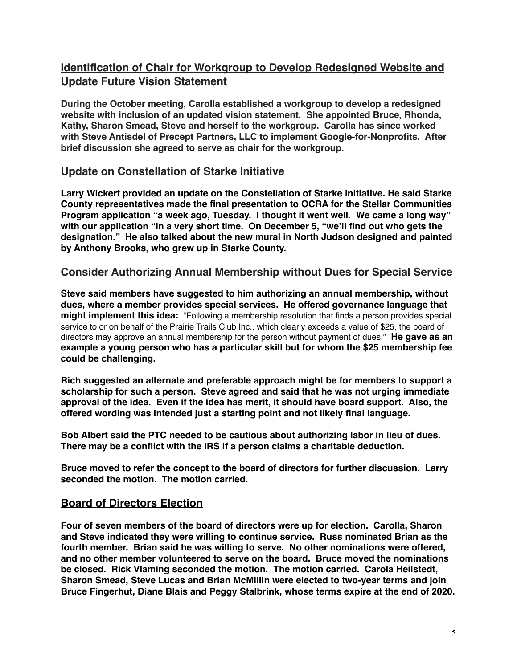# **Identification of Chair for Workgroup to Develop Redesigned Website and Update Future Vision Statement**

**During the October meeting, Carolla established a workgroup to develop a redesigned website with inclusion of an updated vision statement. She appointed Bruce, Rhonda, Kathy, Sharon Smead, Steve and herself to the workgroup. Carolla has since worked with Steve Antisdel of Precept Partners, LLC to implement Google-for-Nonprofits. After brief discussion she agreed to serve as chair for the workgroup.**

### **Update on Constellation of Starke Initiative**

**Larry Wickert provided an update on the Constellation of Starke initiative. He said Starke County representatives made the final presentation to OCRA for the Stellar Communities Program application "a week ago, Tuesday. I thought it went well. We came a long way" with our application "in a very short time. On December 5, "we'll find out who gets the designation." He also talked about the new mural in North Judson designed and painted by Anthony Brooks, who grew up in Starke County.**

### **Consider Authorizing Annual Membership without Dues for Special Service**

**Steve said members have suggested to him authorizing an annual membership, without dues, where a member provides special services. He offered governance language that might implement this idea:** "Following a membership resolution that finds a person provides special service to or on behalf of the Prairie Trails Club Inc., which clearly exceeds a value of \$25, the board of directors may approve an annual membership for the person without payment of dues." **He gave as an example a young person who has a particular skill but for whom the \$25 membership fee could be challenging.** 

**Rich suggested an alternate and preferable approach might be for members to support a scholarship for such a person. Steve agreed and said that he was not urging immediate approval of the idea. Even if the idea has merit, it should have board support. Also, the offered wording was intended just a starting point and not likely final language.**

**Bob Albert said the PTC needed to be cautious about authorizing labor in lieu of dues. There may be a conflict with the IRS if a person claims a charitable deduction.**

**Bruce moved to refer the concept to the board of directors for further discussion. Larry seconded the motion. The motion carried.**

### **Board of Directors Election**

**Four of seven members of the board of directors were up for election. Carolla, Sharon and Steve indicated they were willing to continue service. Russ nominated Brian as the fourth member. Brian said he was willing to serve. No other nominations were offered, and no other member volunteered to serve on the board. Bruce moved the nominations be closed. Rick Vlaming seconded the motion. The motion carried. Carola Heilstedt, Sharon Smead, Steve Lucas and Brian McMillin were elected to two-year terms and join Bruce Fingerhut, Diane Blais and Peggy Stalbrink, whose terms expire at the end of 2020.**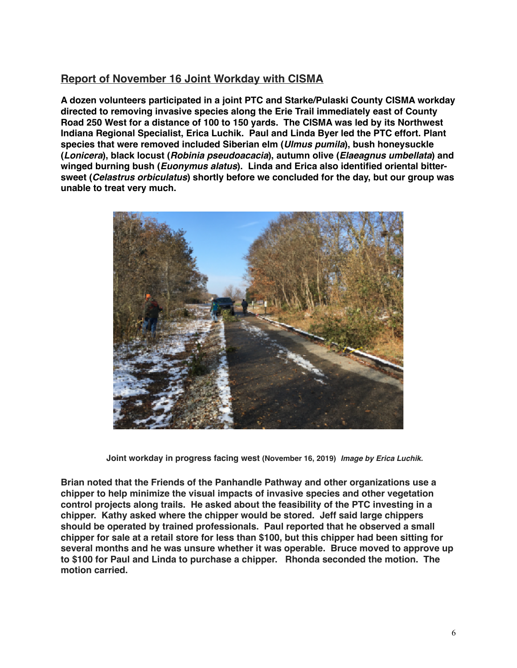# **Report of November 16 Joint Workday with CISMA**

**A dozen volunteers participated in a joint PTC and Starke/Pulaski County CISMA workday directed to removing invasive species along the Erie Trail immediately east of County Road 250 West for a distance of 100 to 150 yards. The CISMA was led by its Northwest Indiana Regional Specialist, Erica Luchik. Paul and Linda Byer led the PTC effort. Plant species that were removed included Siberian elm (***Ulmus pumila***), bush honeysuckle (***Lonicera***), black locust (***Robinia pseudoacacia***), autumn olive (***Elaeagnus umbellata***) and winged burning bush (***Euonymus alatus***). Linda and Erica also identified oriental bittersweet (***Celastrus orbiculatus***) shortly before we concluded for the day, but our group was unable to treat very much.**



 **Joint workday in progress facing west (November 16, 2019)** *Image by Erica Luchik.*

**Brian noted that the Friends of the Panhandle Pathway and other organizations use a chipper to help minimize the visual impacts of invasive species and other vegetation control projects along trails. He asked about the feasibility of the PTC investing in a chipper. Kathy asked where the chipper would be stored. Jeff said large chippers should be operated by trained professionals. Paul reported that he observed a small chipper for sale at a retail store for less than \$100, but this chipper had been sitting for several months and he was unsure whether it was operable. Bruce moved to approve up to \$100 for Paul and Linda to purchase a chipper. Rhonda seconded the motion. The motion carried.**